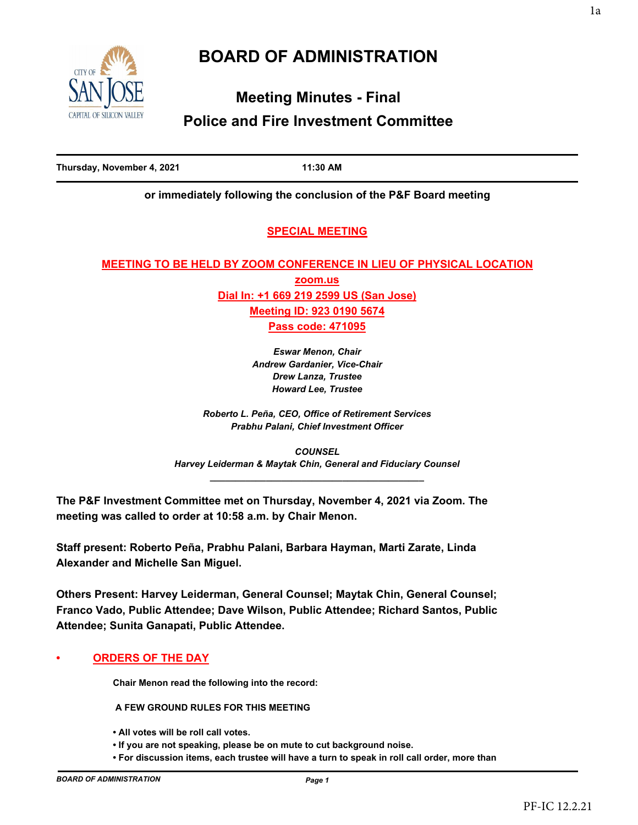

# **Meeting Minutes - Final Police and Fire Investment Committee**

**Thursday, November 4, 2021 11:30 AM**

**or immediately following the conclusion of the P&F Board meeting**

# **SPECIAL MEETING**

# **MEETING TO BE HELD BY ZOOM CONFERENCE IN LIEU OF PHYSICAL LOCATION zoom.us Dial In: +1 669 219 2599 US (San Jose) Meeting ID: 923 0190 5674 Pass code: 471095**

*Eswar Menon, Chair Andrew Gardanier, Vice-Chair Drew Lanza, Trustee Howard Lee, Trustee*

*Roberto L. Peña, CEO, Office of Retirement Services Prabhu Palani, Chief Investment Officer* 

*COUNSEL Harvey Leiderman & Maytak Chin, General and Fiduciary Counsel \_\_\_\_\_\_\_\_\_\_\_\_\_\_\_\_\_\_\_\_\_\_\_\_\_\_\_\_\_\_\_\_\_\_\_\_\_\_\_\_\_\_*

**The P&F Investment Committee met on Thursday, November 4, 2021 via Zoom. The meeting was called to order at 10:58 a.m. by Chair Menon.**

**Staff present: Roberto Peña, Prabhu Palani, Barbara Hayman, Marti Zarate, Linda Alexander and Michelle San Miguel.**

**Others Present: Harvey Leiderman, General Counsel; Maytak Chin, General Counsel; Franco Vado, Public Attendee; Dave Wilson, Public Attendee; Richard Santos, Public Attendee; Sunita Ganapati, Public Attendee.**

## **• ORDERS OF THE DAY**

**Chair Menon read the following into the record:**

 **A FEW GROUND RULES FOR THIS MEETING** 

- **All votes will be roll call votes.**
- **If you are not speaking, please be on mute to cut background noise.**
- **For discussion items, each trustee will have a turn to speak in roll call order, more than**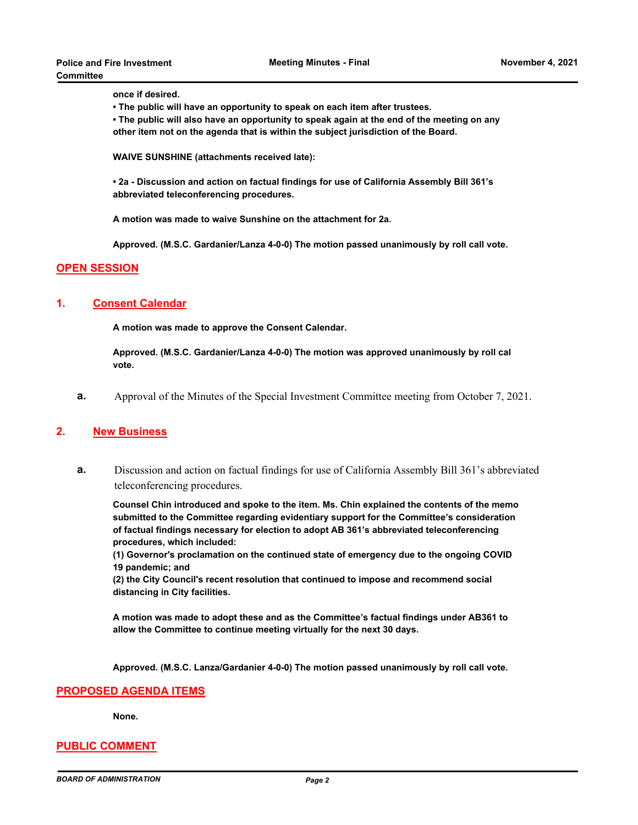**once if desired.**

- **The public will have an opportunity to speak on each item after trustees.**
- **The public will also have an opportunity to speak again at the end of the meeting on any other item not on the agenda that is within the subject jurisdiction of the Board.**

**WAIVE SUNSHINE (attachments received late):**

**• 2a - Discussion and action on factual findings for use of California Assembly Bill 361's abbreviated teleconferencing procedures.**

**A motion was made to waive Sunshine on the attachment for 2a.** 

**Approved. (M.S.C. Gardanier/Lanza 4-0-0) The motion passed unanimously by roll call vote.**

#### **OPEN SESSION**

#### **1. Consent Calendar**

**A motion was made to approve the Consent Calendar.** 

**Approved. (M.S.C. Gardanier/Lanza 4-0-0) The motion was approved unanimously by roll cal vote.**

**a.** Approval of the Minutes of the Special Investment Committee meeting from October 7, 2021.

#### **2. New Business**

**a.** Discussion and action on factual findings for use of California Assembly Bill 361's abbreviated teleconferencing procedures.

**Counsel Chin introduced and spoke to the item. Ms. Chin explained the contents of the memo submitted to the Committee regarding evidentiary support for the Committee's consideration of factual findings necessary for election to adopt AB 361's abbreviated teleconferencing procedures, which included:**

**(1) Governor's proclamation on the continued state of emergency due to the ongoing COVID 19 pandemic; and** 

**(2) the City Council's recent resolution that continued to impose and recommend social distancing in City facilities.**

**A motion was made to adopt these and as the Committee's factual findings under AB361 to allow the Committee to continue meeting virtually for the next 30 days.**

**Approved. (M.S.C. Lanza/Gardanier 4-0-0) The motion passed unanimously by roll call vote.**

#### **PROPOSED AGENDA ITEMS**

**None.**

#### **PUBLIC COMMENT**